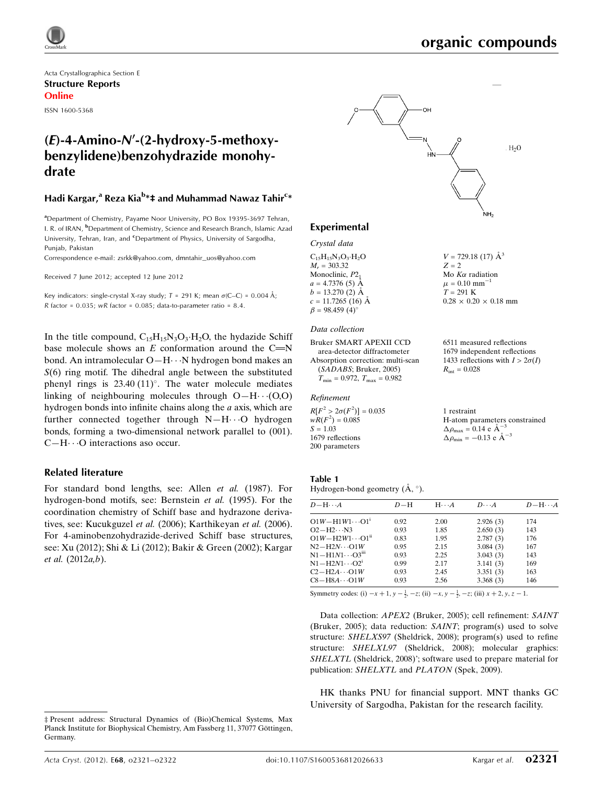

 $V = 729.18(17)$   $\AA^3$ 

 $0.28 \times 0.20 \times 0.18$  mm

6511 measured reflections 1679 independent reflections 1433 reflections with  $I > 2\sigma(I)$ 

H-atom parameters constrained

 $R_{\text{int}} = 0.028$ 

1 restraint

 $\Delta \rho_{\text{max}} = 0.14 \text{ e A}^{-3}$  $\Delta \rho_{\text{min}} = -0.13$  e  $\AA^{-3}$ 

 $Z = 2$ Mo  $K\alpha$  radiation  $\mu = 0.10$  mm<sup>-1</sup>  $T = 291$  K

Acta Crystallographica Section E Structure Reports Online

ISSN 1600-5368

# $(E)$ -4-Amino- $N'$ -(2-hydroxy-5-methoxybenzylidene)benzohydrazide monohydrate

### Hadi Kargar,<sup>a</sup> Reza Kia<sup>b</sup>\*‡ and Muhammad Nawaz Tahir<sup>c</sup>\*

<sup>a</sup>Department of Chemistry, Payame Noor University, PO Box 19395-3697 Tehran, I. R. of IRAN, <sup>b</sup>Department of Chemistry, Science and Research Branch, Islamic Azad University, Tehran, Iran, and <sup>c</sup>Department of Physics, University of Sargodha, Punjab, Pakistan

Correspondence e-mail: [zsrkk@yahoo.com](http://scripts.iucr.org/cgi-bin/cr.cgi?rm=pdfbb&cnor=bq2366&bbid=BB12), [dmntahir\\_uos@yahoo.com](http://scripts.iucr.org/cgi-bin/cr.cgi?rm=pdfbb&cnor=bq2366&bbid=BB12)

Received 7 June 2012; accepted 12 June 2012

Key indicators: single-crystal X-ray study;  $T = 291$  K; mean  $\sigma$ (C–C) = 0.004 Å; R factor =  $0.035$ ; wR factor =  $0.085$ ; data-to-parameter ratio =  $8.4$ .

In the title compound,  $C_{15}H_{15}N_3O_3 \cdot H_2O$ , the hydazide Schiff base molecule shows an  $E$  conformation around the C=N bond. An intramolecular O-H $\cdots$ N hydrogen bond makes an  $S(6)$  ring motif. The dihedral angle between the substituted phenyl rings is  $23.40 (11)^\circ$ . The water molecule mediates linking of neighbouring molecules through  $O-H \cdots (O, O)$ hydrogen bonds into infinite chains along the a axis, which are further connected together through N-H··· O hydrogen bonds, forming a two-dimensional network parallel to (001).  $C-H\cdots$ O interactions aso occur.

### Related literature

For standard bond lengths, see: Allen et al. (1987). For hydrogen-bond motifs, see: Bernstein et al. (1995). For the coordination chemistry of Schiff base and hydrazone derivatives, see: Kucukguzel et al. (2006); Karthikeyan et al. (2006). For 4-aminobenzohydrazide-derived Schiff base structures, see: Xu (2012); Shi & Li (2012); Bakir & Green (2002); Kargar et al. (2012a,b).



### Experimental

### Crystal data

 $C_{15}H_{15}N_3O_3 \cdot H_2O$  $M<sub>r</sub> = 303.32$ Monoclinic,  $P2<sub>1</sub>$  $a = 4.7376(5)$  Å  $b = 13.270(2)$  Å  $c = 11.7265(16)$  Å  $\beta = 98.459$  (4)<sup>o</sup>

#### Data collection

```
Bruker SMART APEXII CCD
  area-detector diffractometer
Absorption correction: multi-scan
  (SADABS; Bruker, 2005)
  T_{\text{min}} = 0.972, T_{\text{max}} = 0.982
```
#### Refinement

 $R[F^2 > 2\sigma(F^2)] = 0.035$  $wR(F^2) = 0.085$  $S = 1.03$ 1679 reflections 200 parameters

### Table 1

Hydrogen-bond geometry  $(\AA, \degree)$ .

| $D - H \cdots A$            | $D-H$ | $H \cdot \cdot \cdot A$ | $D \cdots A$ | $D - H \cdots A$ |
|-----------------------------|-------|-------------------------|--------------|------------------|
| $O1W - H1W1 \cdots O1^{i}$  | 0.92  | 2.00                    | 2.926(3)     | 174              |
| $O2 - H2 \cdots N3$         | 0.93  | 1.85                    | 2.650(3)     | 143              |
| $O1W - H2W1 \cdots O1^{ii}$ | 0.83  | 1.95                    | 2.787(3)     | 176              |
| $N2 - H2N \cdots 01W$       | 0.95  | 2.15                    | 3.084(3)     | 167              |
| $N1 - H1N1 \cdots O3iii$    | 0.93  | 2.25                    | 3.043(3)     | 143              |
| $N1 - H2N1 \cdots O2^1$     | 0.99  | 2.17                    | 3.141(3)     | 169              |
| $C2 - H2A \cdots O1W$       | 0.93  | 2.45                    | 3.351(3)     | 163              |
| $C8 - H8A \cdots O1W$       | 0.93  | 2.56                    | 3.368(3)     | 146              |

Symmetry codes: (i)  $-x + 1$ ,  $y - \frac{1}{2}$ ,  $-z$ ; (ii)  $-x$ ,  $y - \frac{1}{2}$ ,  $-z$ ; (iii)  $x + 2$ ,  $y$ ,  $z - 1$ .

Data collection: APEX2 (Bruker, 2005); cell refinement: SAINT (Bruker, 2005); data reduction: SAINT; program(s) used to solve structure: SHELXS97 (Sheldrick, 2008); program(s) used to refine structure: SHELXL97 (Sheldrick, 2008); molecular graphics: SHELXTL (Sheldrick, 2008)'; software used to prepare material for publication: SHELXTL and PLATON (Spek, 2009).

HK thanks PNU for financial support. MNT thanks GC University of Sargodha, Pakistan for the research facility.

<sup>‡</sup> Present address: Structural Dynamics of (Bio)Chemical Systems, Max Planck Institute for Biophysical Chemistry, Am Fassberg 11, 37077 Göttingen, Germany.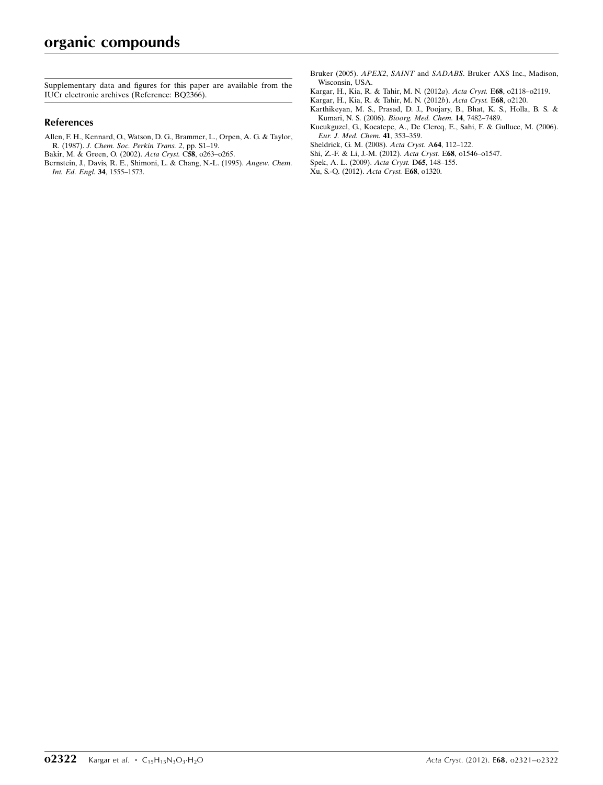Supplementary data and figures for this paper are available from the IUCr electronic archives (Reference: BQ2366).

### References

[Allen, F. H., Kennard, O., Watson, D. G., Brammer, L., Orpen, A. G. & Taylor,](http://scripts.iucr.org/cgi-bin/cr.cgi?rm=pdfbb&cnor=bq2366&bbid=BB1) R. (1987). [J. Chem. Soc. Perkin Trans. 2](http://scripts.iucr.org/cgi-bin/cr.cgi?rm=pdfbb&cnor=bq2366&bbid=BB1), pp. S1–19.

[Bakir, M. & Green, O. \(2002\).](http://scripts.iucr.org/cgi-bin/cr.cgi?rm=pdfbb&cnor=bq2366&bbid=BB2) Acta Cryst. C58, o263–o265.

- [Bernstein, J., Davis, R. E., Shimoni, L. & Chang, N.-L. \(1995\).](http://scripts.iucr.org/cgi-bin/cr.cgi?rm=pdfbb&cnor=bq2366&bbid=BB3) Angew. Chem. [Int. Ed. Engl.](http://scripts.iucr.org/cgi-bin/cr.cgi?rm=pdfbb&cnor=bq2366&bbid=BB3) 34, 1555–1573.
- Bruker (2005). APEX2, SAINT and SADABS[. Bruker AXS Inc., Madison,](http://scripts.iucr.org/cgi-bin/cr.cgi?rm=pdfbb&cnor=bq2366&bbid=BB4) [Wisconsin, USA.](http://scripts.iucr.org/cgi-bin/cr.cgi?rm=pdfbb&cnor=bq2366&bbid=BB4)
- [Kargar, H., Kia, R. & Tahir, M. N. \(2012](http://scripts.iucr.org/cgi-bin/cr.cgi?rm=pdfbb&cnor=bq2366&bbid=BB5)a). Acta Cryst. E68, o2118–o2119.
- [Kargar, H., Kia, R. & Tahir, M. N. \(2012](http://scripts.iucr.org/cgi-bin/cr.cgi?rm=pdfbb&cnor=bq2366&bbid=BB6)b). Acta Cryst. E68, o2120.
- [Karthikeyan, M. S., Prasad, D. J., Poojary, B., Bhat, K. S., Holla, B. S. &](http://scripts.iucr.org/cgi-bin/cr.cgi?rm=pdfbb&cnor=bq2366&bbid=BB7) [Kumari, N. S. \(2006\).](http://scripts.iucr.org/cgi-bin/cr.cgi?rm=pdfbb&cnor=bq2366&bbid=BB7) Bioorg. Med. Chem. 14, 7482–7489.
- [Kucukguzel, G., Kocatepe, A., De Clercq, E., Sahi, F. & Gulluce, M. \(2006\).](http://scripts.iucr.org/cgi-bin/cr.cgi?rm=pdfbb&cnor=bq2366&bbid=BB8) [Eur. J. Med. Chem.](http://scripts.iucr.org/cgi-bin/cr.cgi?rm=pdfbb&cnor=bq2366&bbid=BB8) 41, 353–359.
- [Sheldrick, G. M. \(2008\).](http://scripts.iucr.org/cgi-bin/cr.cgi?rm=pdfbb&cnor=bq2366&bbid=BB9) Acta Cryst. A64, 112–122.
- [Shi, Z.-F. & Li, J.-M. \(2012\).](http://scripts.iucr.org/cgi-bin/cr.cgi?rm=pdfbb&cnor=bq2366&bbid=BB10) Acta Cryst. E68, o1546–o1547.
- [Spek, A. L. \(2009\).](http://scripts.iucr.org/cgi-bin/cr.cgi?rm=pdfbb&cnor=bq2366&bbid=BB11) Acta Cryst. D65, 148–155.
- [Xu, S.-Q. \(2012\).](http://scripts.iucr.org/cgi-bin/cr.cgi?rm=pdfbb&cnor=bq2366&bbid=BB12) Acta Cryst. E68, o1320.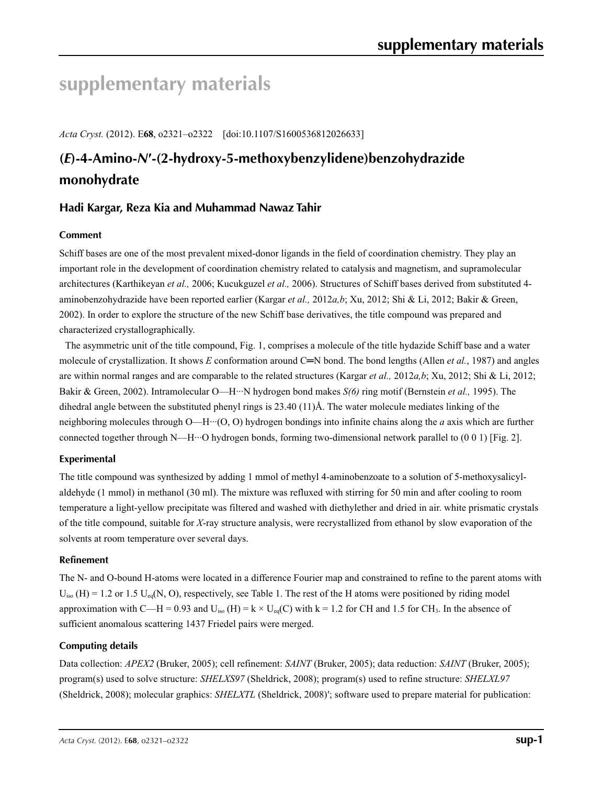# **supplementary materials**

*Acta Cryst.* (2012). E**68**, o2321–o2322 [doi:10.1107/S1600536812026633]

# **(***E***)-4-Amino-***N***′-(2-hydroxy-5-methoxybenzylidene)benzohydrazide monohydrate**

## **Hadi Kargar, Reza Kia and Muhammad Nawaz Tahir**

### **Comment**

Schiff bases are one of the most prevalent mixed-donor ligands in the field of coordination chemistry. They play an important role in the development of coordination chemistry related to catalysis and magnetism, and supramolecular architectures (Karthikeyan *et al.,* 2006; Kucukguzel *et al.,* 2006). Structures of Schiff bases derived from substituted 4 aminobenzohydrazide have been reported earlier (Kargar *et al.,* 2012*a,b*; Xu, 2012; Shi & Li, 2012; Bakir & Green, 2002). In order to explore the structure of the new Schiff base derivatives, the title compound was prepared and characterized crystallographically.

The asymmetric unit of the title compound, Fig. 1, comprises a molecule of the title hydazide Schiff base and a water molecule of crystallization. It shows *E* conformation around C═N bond. The bond lengths (Allen *et al.*, 1987) and angles are within normal ranges and are comparable to the related structures (Kargar *et al.,* 2012*a,b*; Xu, 2012; Shi & Li, 2012; Bakir & Green, 2002). Intramolecular O—H···N hydrogen bond makes *S(6)* ring motif (Bernstein *et al.,* 1995). The dihedral angle between the substituted phenyl rings is 23.40 (11)Å. The water molecule mediates linking of the neighboring molecules through O—H···(O, O) hydrogen bondings into infinite chains along the *a* axis which are further connected together through N—H···O hydrogen bonds, forming two-dimensional network parallel to  $(0\ 0\ 1)$  [Fig. 2].

### **Experimental**

The title compound was synthesized by adding 1 mmol of methyl 4-aminobenzoate to a solution of 5-methoxysalicylaldehyde (1 mmol) in methanol (30 ml). The mixture was refluxed with stirring for 50 min and after cooling to room temperature a light-yellow precipitate was filtered and washed with diethylether and dried in air. white prismatic crystals of the title compound, suitable for *X*-ray structure analysis, were recrystallized from ethanol by slow evaporation of the solvents at room temperature over several days.

### **Refinement**

The N- and O-bound H-atoms were located in a difference Fourier map and constrained to refine to the parent atoms with  $U_{\text{iso}}$  (H) = 1.2 or 1.5  $U_{\text{eq}}(N, O)$ , respectively, see Table 1. The rest of the H atoms were positioned by riding model approximation with C—H = 0.93 and  $U_{iso}$  (H) = k × U<sub>eq</sub>(C) with k = 1.2 for CH and 1.5 for CH<sub>3</sub>. In the absence of sufficient anomalous scattering 1437 Friedel pairs were merged.

### **Computing details**

Data collection: *APEX2* (Bruker, 2005); cell refinement: *SAINT* (Bruker, 2005); data reduction: *SAINT* (Bruker, 2005); program(s) used to solve structure: *SHELXS97* (Sheldrick, 2008); program(s) used to refine structure: *SHELXL97* (Sheldrick, 2008); molecular graphics: *SHELXTL* (Sheldrick, 2008)′; software used to prepare material for publication: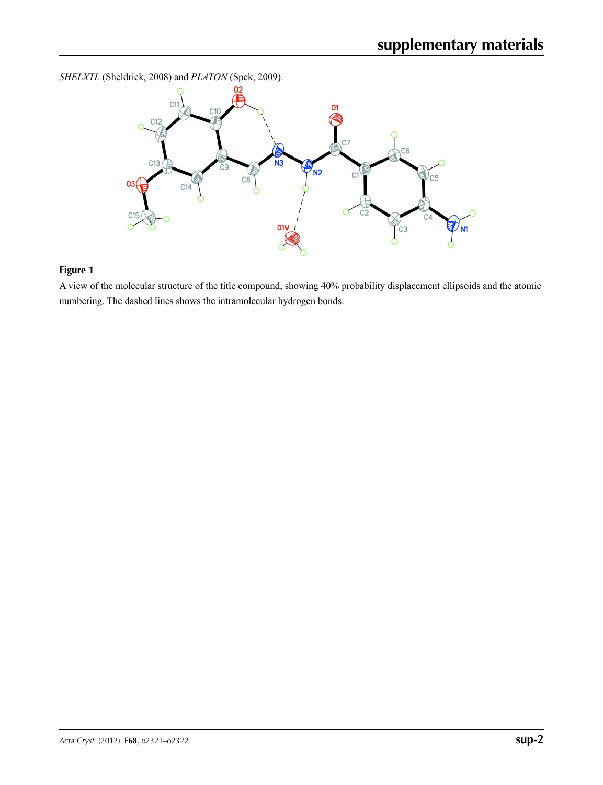*SHELXTL* (Sheldrick, 2008) and *PLATON* (Spek, 2009).



# **Figure 1**

A view of the molecular structure of the title compound, showing 40% probability displacement ellipsoids and the atomic numbering. The dashed lines shows the intramolecular hydrogen bonds.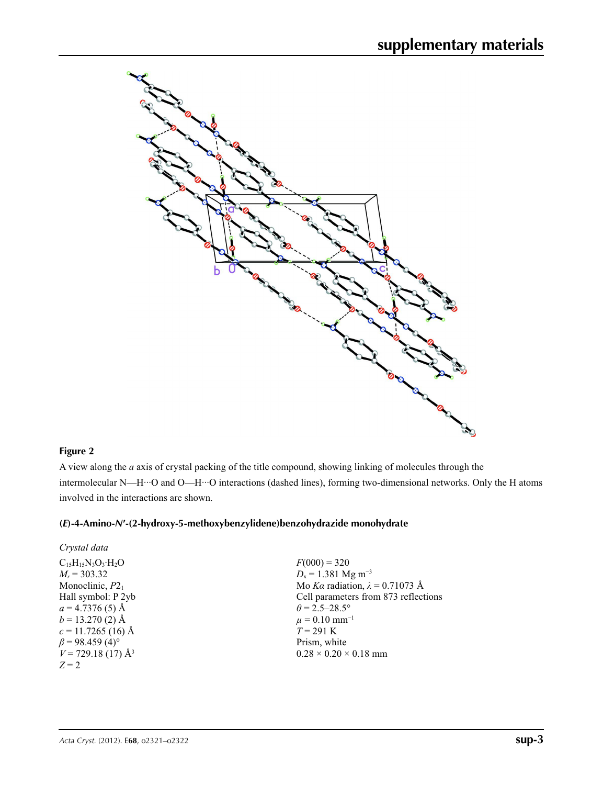

### **Figure 2**

A view along the *a* axis of crystal packing of the title compound, showing linking of molecules through the intermolecular N—H···O and O—H···O interactions (dashed lines), forming two-dimensional networks. Only the H atoms involved in the interactions are shown.

### **(***E***)-4-Amino-***N***′-(2-hydroxy-5-methoxybenzylidene)benzohydrazide monohydrate**

| Crystal data                      |                                        |
|-----------------------------------|----------------------------------------|
| $C_{15}H_{15}N_3O_3 \cdot H_2O$   | $F(000) = 320$                         |
| $M_r = 303.32$                    | $D_x = 1.381$ Mg m <sup>-3</sup>       |
| Monoclinic, $P2_1$                | Mo Ka radiation, $\lambda = 0.71073$ Å |
| Hall symbol: P 2yb                | Cell parameters from 873 reflections   |
| $a = 4.7376(5)$ Å                 | $\theta$ = 2.5–28.5°                   |
| $b = 13.270(2)$ Å                 | $\mu = 0.10$ mm <sup>-1</sup>          |
| $c = 11.7265$ (16) Å              | $T = 291$ K                            |
| $\beta$ = 98.459 (4) <sup>o</sup> | Prism, white                           |
| $V = 729.18(17)$ Å <sup>3</sup>   | $0.28 \times 0.20 \times 0.18$ mm      |
| $Z = 2$                           |                                        |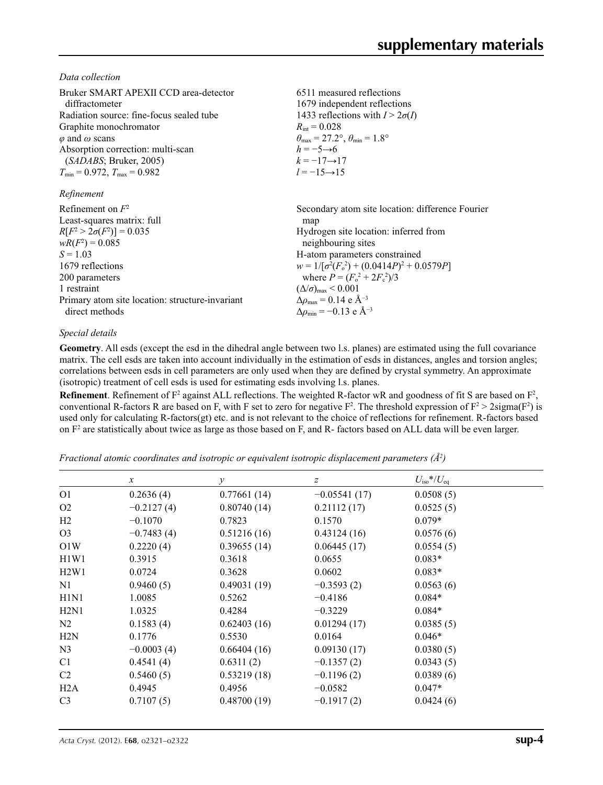*Data collection*

| Bruker SMART APEXII CCD area-detector<br>diffractometer<br>Radiation source: fine-focus sealed tube<br>Graphite monochromator<br>$\varphi$ and $\omega$ scans<br>Absorption correction: multi-scan<br>(SADABS; Bruker, 2005)<br>$T_{\min} = 0.972$ , $T_{\max} = 0.982$<br>Refinement | 6511 measured reflections<br>1679 independent reflections<br>1433 reflections with $I > 2\sigma(I)$<br>$R_{\rm int} = 0.028$<br>$\theta_{\text{max}} = 27.2^{\circ}, \theta_{\text{min}} = 1.8^{\circ}$<br>$h = -5 \rightarrow 6$<br>$k = -17 \rightarrow 17$<br>$l = -15 \rightarrow 15$ |
|---------------------------------------------------------------------------------------------------------------------------------------------------------------------------------------------------------------------------------------------------------------------------------------|-------------------------------------------------------------------------------------------------------------------------------------------------------------------------------------------------------------------------------------------------------------------------------------------|
| Refinement on $F^2$                                                                                                                                                                                                                                                                   | Secondary atom site location: difference Fourier                                                                                                                                                                                                                                          |
| Least-squares matrix: full                                                                                                                                                                                                                                                            | map                                                                                                                                                                                                                                                                                       |
| $R[F^2 > 2\sigma(F^2)] = 0.035$                                                                                                                                                                                                                                                       | Hydrogen site location: inferred from                                                                                                                                                                                                                                                     |
| $wR(F^2) = 0.085$                                                                                                                                                                                                                                                                     | neighbouring sites                                                                                                                                                                                                                                                                        |
| $S = 1.03$                                                                                                                                                                                                                                                                            | H-atom parameters constrained                                                                                                                                                                                                                                                             |
| 1679 reflections                                                                                                                                                                                                                                                                      | $w = 1/[\sigma^2(F_0^2) + (0.0414P)^2 + 0.0579P]$                                                                                                                                                                                                                                         |
| 200 parameters                                                                                                                                                                                                                                                                        | where $P = (F_o^2 + 2F_c^2)/3$                                                                                                                                                                                                                                                            |
| 1 restraint                                                                                                                                                                                                                                                                           | $(\Delta/\sigma)_{\text{max}}$ < 0.001                                                                                                                                                                                                                                                    |
| Primary atom site location: structure-invariant                                                                                                                                                                                                                                       | $\Delta \rho_{\text{max}} = 0.14 \text{ e } \text{\AA}^{-3}$                                                                                                                                                                                                                              |
| direct methods                                                                                                                                                                                                                                                                        | $\Delta\rho_{\rm min} = -0.13$ e Å <sup>-3</sup>                                                                                                                                                                                                                                          |

### *Special details*

**Geometry**. All esds (except the esd in the dihedral angle between two l.s. planes) are estimated using the full covariance matrix. The cell esds are taken into account individually in the estimation of esds in distances, angles and torsion angles; correlations between esds in cell parameters are only used when they are defined by crystal symmetry. An approximate (isotropic) treatment of cell esds is used for estimating esds involving l.s. planes.

**Refinement**. Refinement of  $F^2$  against ALL reflections. The weighted R-factor wR and goodness of fit S are based on  $F^2$ , conventional R-factors R are based on F, with F set to zero for negative  $F^2$ . The threshold expression of  $F^2 > 2 \text{sigma}(F^2)$  is used only for calculating R-factors(gt) etc. and is not relevant to the choice of reflections for refinement. R-factors based on  $F<sup>2</sup>$  are statistically about twice as large as those based on F, and R- factors based on ALL data will be even larger.

*Fractional atomic coordinates and isotropic or equivalent isotropic displacement parameters (Å<sup>2</sup>)* 

|                               | $\mathcal{X}$ | $\mathcal{Y}$ | $\boldsymbol{Z}$ | $U_{\rm iso}$ */ $U_{\rm eq}$ |  |
|-------------------------------|---------------|---------------|------------------|-------------------------------|--|
| O <sub>1</sub>                | 0.2636(4)     | 0.77661(14)   | $-0.05541(17)$   | 0.0508(5)                     |  |
| O <sub>2</sub>                | $-0.2127(4)$  | 0.80740(14)   | 0.21112(17)      | 0.0525(5)                     |  |
| H2                            | $-0.1070$     | 0.7823        | 0.1570           | $0.079*$                      |  |
| O <sub>3</sub>                | $-0.7483(4)$  | 0.51216(16)   | 0.43124(16)      | 0.0576(6)                     |  |
| O1W                           | 0.2220(4)     | 0.39655(14)   | 0.06445(17)      | 0.0554(5)                     |  |
| H1W1                          | 0.3915        | 0.3618        | 0.0655           | $0.083*$                      |  |
| H2W1                          | 0.0724        | 0.3628        | 0.0602           | $0.083*$                      |  |
| N1                            | 0.9460(5)     | 0.49031(19)   | $-0.3593(2)$     | 0.0563(6)                     |  |
| H <sub>1</sub> N <sub>1</sub> | 1.0085        | 0.5262        | $-0.4186$        | $0.084*$                      |  |
| H2N1                          | 1.0325        | 0.4284        | $-0.3229$        | $0.084*$                      |  |
| N2                            | 0.1583(4)     | 0.62403(16)   | 0.01294(17)      | 0.0385(5)                     |  |
| H2N                           | 0.1776        | 0.5530        | 0.0164           | $0.046*$                      |  |
| N <sub>3</sub>                | $-0.0003(4)$  | 0.66404(16)   | 0.09130(17)      | 0.0380(5)                     |  |
| C <sub>1</sub>                | 0.4541(4)     | 0.6311(2)     | $-0.1357(2)$     | 0.0343(5)                     |  |
| C <sub>2</sub>                | 0.5460(5)     | 0.53219(18)   | $-0.1196(2)$     | 0.0389(6)                     |  |
| H2A                           | 0.4945        | 0.4956        | $-0.0582$        | $0.047*$                      |  |
| C <sub>3</sub>                | 0.7107(5)     | 0.48700(19)   | $-0.1917(2)$     | 0.0424(6)                     |  |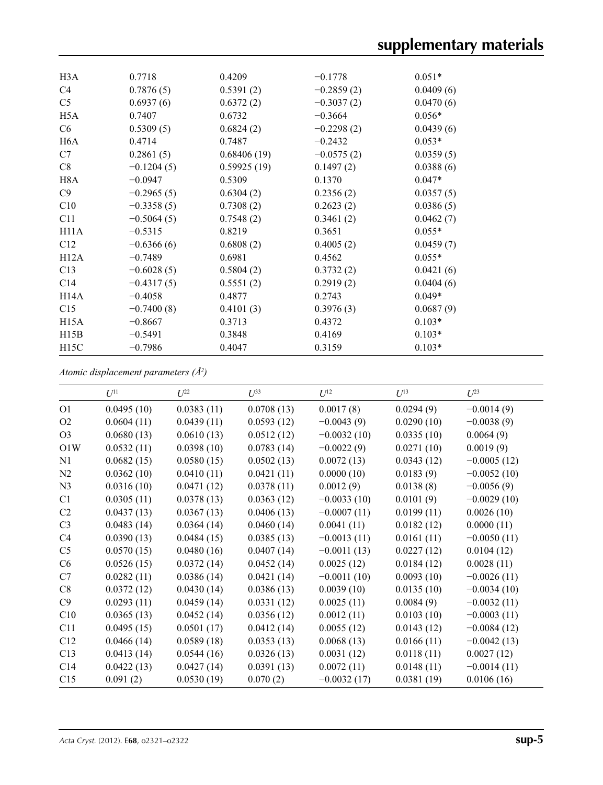| H <sub>3</sub> A  | 0.7718       | 0.4209      | $-0.1778$    | $0.051*$  |
|-------------------|--------------|-------------|--------------|-----------|
| C4                | 0.7876(5)    | 0.5391(2)   | $-0.2859(2)$ | 0.0409(6) |
| C <sub>5</sub>    | 0.6937(6)    | 0.6372(2)   | $-0.3037(2)$ | 0.0470(6) |
| H5A               | 0.7407       | 0.6732      | $-0.3664$    | $0.056*$  |
| C <sub>6</sub>    | 0.5309(5)    | 0.6824(2)   | $-0.2298(2)$ | 0.0439(6) |
| H <sub>6</sub> A  | 0.4714       | 0.7487      | $-0.2432$    | $0.053*$  |
| C7                | 0.2861(5)    | 0.68406(19) | $-0.0575(2)$ | 0.0359(5) |
| C8                | $-0.1204(5)$ | 0.59925(19) | 0.1497(2)    | 0.0388(6) |
| H8A               | $-0.0947$    | 0.5309      | 0.1370       | $0.047*$  |
| C9                | $-0.2965(5)$ | 0.6304(2)   | 0.2356(2)    | 0.0357(5) |
| C10               | $-0.3358(5)$ | 0.7308(2)   | 0.2623(2)    | 0.0386(5) |
| C11               | $-0.5064(5)$ | 0.7548(2)   | 0.3461(2)    | 0.0462(7) |
| H11A              | $-0.5315$    | 0.8219      | 0.3651       | $0.055*$  |
| C12               | $-0.6366(6)$ | 0.6808(2)   | 0.4005(2)    | 0.0459(7) |
| H12A              | $-0.7489$    | 0.6981      | 0.4562       | $0.055*$  |
| C13               | $-0.6028(5)$ | 0.5804(2)   | 0.3732(2)    | 0.0421(6) |
| C <sub>14</sub>   | $-0.4317(5)$ | 0.5551(2)   | 0.2919(2)    | 0.0404(6) |
| H <sub>14</sub> A | $-0.4058$    | 0.4877      | 0.2743       | $0.049*$  |
| C15               | $-0.7400(8)$ | 0.4101(3)   | 0.3976(3)    | 0.0687(9) |
| H15A              | $-0.8667$    | 0.3713      | 0.4372       | $0.103*$  |
| H15B              | $-0.5491$    | 0.3848      | 0.4169       | $0.103*$  |
| H15C              | $-0.7986$    | 0.4047      | 0.3159       | $0.103*$  |

*Atomic displacement parameters (Å2 )*

|                | $U^{11}$   | $U^{22}$   | $U^{33}$   | $U^{12}$      | $U^{13}$   | $U^{23}$      |
|----------------|------------|------------|------------|---------------|------------|---------------|
| O <sub>1</sub> | 0.0495(10) | 0.0383(11) | 0.0708(13) | 0.0017(8)     | 0.0294(9)  | $-0.0014(9)$  |
| O <sub>2</sub> | 0.0604(11) | 0.0439(11) | 0.0593(12) | $-0.0043(9)$  | 0.0290(10) | $-0.0038(9)$  |
| O <sub>3</sub> | 0.0680(13) | 0.0610(13) | 0.0512(12) | $-0.0032(10)$ | 0.0335(10) | 0.0064(9)     |
| O1W            | 0.0532(11) | 0.0398(10) | 0.0783(14) | $-0.0022(9)$  | 0.0271(10) | 0.0019(9)     |
| N1             | 0.0682(15) | 0.0580(15) | 0.0502(13) | 0.0072(13)    | 0.0343(12) | $-0.0005(12)$ |
| N2             | 0.0362(10) | 0.0410(11) | 0.0421(11) | 0.0000(10)    | 0.0183(9)  | $-0.0052(10)$ |
| N <sub>3</sub> | 0.0316(10) | 0.0471(12) | 0.0378(11) | 0.0012(9)     | 0.0138(8)  | $-0.0056(9)$  |
| C1             | 0.0305(11) | 0.0378(13) | 0.0363(12) | $-0.0033(10)$ | 0.0101(9)  | $-0.0029(10)$ |
| C <sub>2</sub> | 0.0437(13) | 0.0367(13) | 0.0406(13) | $-0.0007(11)$ | 0.0199(11) | 0.0026(10)    |
| C <sub>3</sub> | 0.0483(14) | 0.0364(14) | 0.0460(14) | 0.0041(11)    | 0.0182(12) | 0.0000(11)    |
| C4             | 0.0390(13) | 0.0484(15) | 0.0385(13) | $-0.0013(11)$ | 0.0161(11) | $-0.0050(11)$ |
| C <sub>5</sub> | 0.0570(15) | 0.0480(16) | 0.0407(14) | $-0.0011(13)$ | 0.0227(12) | 0.0104(12)    |
| C <sub>6</sub> | 0.0526(15) | 0.0372(14) | 0.0452(14) | 0.0025(12)    | 0.0184(12) | 0.0028(11)    |
| C7             | 0.0282(11) | 0.0386(14) | 0.0421(14) | $-0.0011(10)$ | 0.0093(10) | $-0.0026(11)$ |
| C8             | 0.0372(12) | 0.0430(14) | 0.0386(13) | 0.0039(10)    | 0.0135(10) | $-0.0034(10)$ |
| C9             | 0.0293(11) | 0.0459(14) | 0.0331(12) | 0.0025(11)    | 0.0084(9)  | $-0.0032(11)$ |
| C10            | 0.0365(13) | 0.0452(14) | 0.0356(12) | 0.0012(11)    | 0.0103(10) | $-0.0003(11)$ |
| C11            | 0.0495(15) | 0.0501(17) | 0.0412(14) | 0.0055(12)    | 0.0143(12) | $-0.0084(12)$ |
| C12            | 0.0466(14) | 0.0589(18) | 0.0353(13) | 0.0068(13)    | 0.0166(11) | $-0.0042(13)$ |
| C13            | 0.0413(14) | 0.0544(16) | 0.0326(13) | 0.0031(12)    | 0.0118(11) | 0.0027(12)    |
| C14            | 0.0422(13) | 0.0427(14) | 0.0391(13) | 0.0072(11)    | 0.0148(11) | $-0.0014(11)$ |
| C15            | 0.091(2)   | 0.0530(19) | 0.070(2)   | $-0.0032(17)$ | 0.0381(19) | 0.0106(16)    |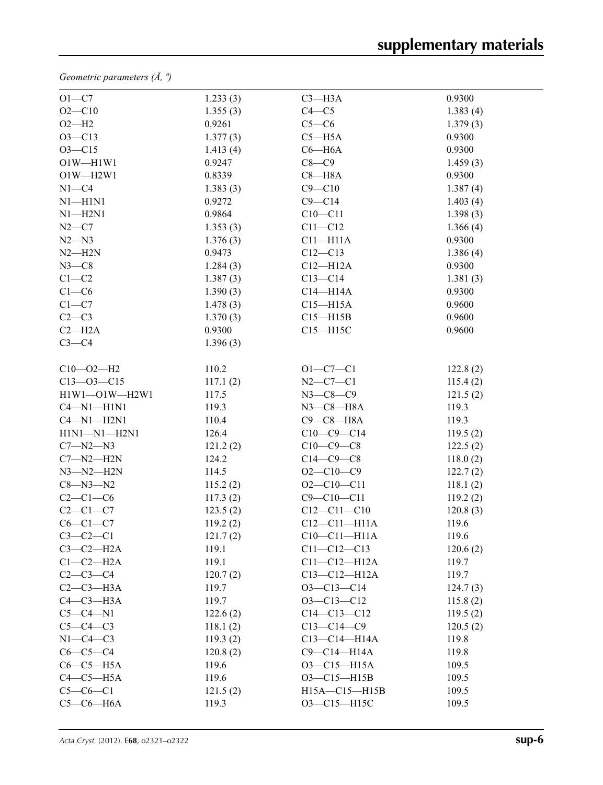*Geometric parameters (Å, º)*

| $O1-C7$          | 1.233(3) | $C3 - H3A$          | 0.9300   |  |
|------------------|----------|---------------------|----------|--|
| $O2 - C10$       | 1.355(3) | $C4 - C5$           | 1.383(4) |  |
| $O2-H2$          | 0.9261   | $C5-C6$             | 1.379(3) |  |
| $O3 - C13$       | 1.377(3) | $C5 - H5A$          | 0.9300   |  |
| $O3 - C15$       | 1.413(4) | $C6 - H6A$          | 0.9300   |  |
| $O1W - H1W1$     | 0.9247   | $C8-C9$             | 1.459(3) |  |
| $O1W - H2W1$     | 0.8339   | $C8 - H8A$          | 0.9300   |  |
| $N1 - C4$        | 1.383(3) | $C9 - C10$          | 1.387(4) |  |
| $N1 - H1N1$      | 0.9272   | $C9 - C14$          | 1.403(4) |  |
| $N1 - H2N1$      | 0.9864   | $C10 - C11$         | 1.398(3) |  |
| $N2-C7$          | 1.353(3) | $C11 - C12$         | 1.366(4) |  |
| $N2 - N3$        | 1.376(3) | $C11 - H11A$        | 0.9300   |  |
| $N2 - H2N$       | 0.9473   | $C12 - C13$         | 1.386(4) |  |
| $N3-C8$          | 1.284(3) | $C12-H12A$          | 0.9300   |  |
| $C1 - C2$        | 1.387(3) | $C13 - C14$         | 1.381(3) |  |
| $C1-C6$          | 1.390(3) | $C14 - H14A$        | 0.9300   |  |
| $C1-C7$          | 1.478(3) | $C15 - H15A$        | 0.9600   |  |
| $C2-C3$          | 1.370(3) | $C15 - H15B$        | 0.9600   |  |
| $C2 - H2A$       | 0.9300   | $C15 - H15C$        | 0.9600   |  |
| $C3-C4$          | 1.396(3) |                     |          |  |
|                  |          |                     |          |  |
| $C10 - 02 - H2$  | 110.2    | $O1 - C7 - C1$      | 122.8(2) |  |
| $C13 - 03 - C15$ | 117.1(2) | $N2 - C7 - C1$      | 115.4(2) |  |
| H1W1-O1W-H2W1    | 117.5    | $N3 - C8 - C9$      | 121.5(2) |  |
| $C4 - N1 - H1N1$ | 119.3    | $N3$ — $C8$ — $H8A$ | 119.3    |  |
| $C4 - N1 - H2N1$ | 110.4    | $C9-C8-H8A$         | 119.3    |  |
| H1N1-N1-H2N1     | 126.4    | $C10-C9-C14$        | 119.5(2) |  |
| $C7 - N2 - N3$   | 121.2(2) | $C10-C9-C8$         | 122.5(2) |  |
| $C7 - N2 - H2N$  | 124.2    | $C14-C9-C8$         | 118.0(2) |  |
| $N3 - N2 - H2N$  | 114.5    | $O2-C10-C9$         | 122.7(2) |  |
| $C8 - N3 - N2$   | 115.2(2) | $O2 - C10 - C11$    | 118.1(2) |  |
| $C2-C1-C6$       | 117.3(2) | $C9 - C10 - C11$    | 119.2(2) |  |
| $C2-C1-C7$       | 123.5(2) | $C12 - C11 - C10$   | 120.8(3) |  |
| $C6-C1-C7$       | 119.2(2) | $C12-C11-H11A$      | 119.6    |  |
| $C3-C2-C1$       | 121.7(2) | $C10-C11-H11A$      | 119.6    |  |
| $C3-C2-H2A$      | 119.1    | $C11 - C12 - C13$   | 120.6(2) |  |
| $C1-C2-H2A$      | 119.1    | $C11-C12-H12A$      | 119.7    |  |
| $C2-C3-C4$       | 120.7(2) | $C13 - C12 - H12A$  | 119.7    |  |
| $C2-C3-H3A$      | 119.7    | $O3 - C13 - C14$    | 124.7(3) |  |
| $C4-C3-H3A$      | 119.7    | $O3 - C13 - C12$    | 115.8(2) |  |
| $C5-C4-N1$       | 122.6(2) | $C14 - C13 - C12$   | 119.5(2) |  |
| $C5-C4-C3$       | 118.1(2) | $C13 - C14 - C9$    | 120.5(2) |  |
| $N1-C4-C3$       | 119.3(2) | $C13 - C14 - H14A$  | 119.8    |  |
| $C6-C5-C4$       | 120.8(2) | C9-C14-H14A         | 119.8    |  |
| $C6-C5-H5A$      | 119.6    | O3-C15-H15A         | 109.5    |  |
| $C4-C5-H5A$      | 119.6    | O3-C15-H15B         | 109.5    |  |
| $C5-C6-C1$       | 121.5(2) | H15A-C15-H15B       | 109.5    |  |
| $C5-C6-HA$       | 119.3    | O3-C15-H15C         | 109.5    |  |
|                  |          |                     |          |  |